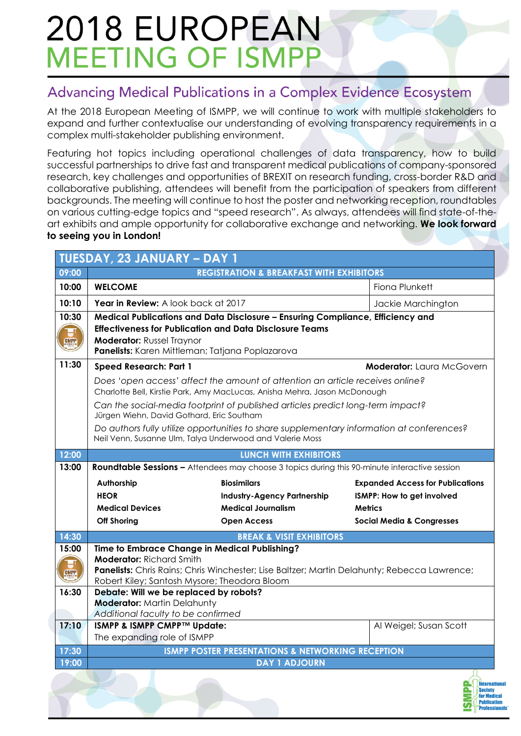#### Advancing Medical Publications in a Complex Evidence Ecosystem

At the 2018 European Meeting of ISMPP, we will continue to work with multiple stakeholders to expand and further contextualise our understanding of evolving transparency requirements in a complex multi-stakeholder publishing environment.

Featuring hot topics including operational challenges of data transparency, how to build successful partnerships to drive fast and transparent medical publications of company-sponsored research, key challenges and opportunities of BREXIT on research funding, cross-border R&D and collaborative publishing, attendees will benefit from the participation of speakers from different backgrounds. The meeting will continue to host the poster and networking reception, roundtables on various cutting-edge topics and "speed research". As always, attendees will find state-of-theart exhibits and ample opportunity for collaborative exchange and networking. **We look forward to seeing you in London!**

| TUESDAY, 23 JANUARY - DAY 1 |                                                                                                                                                                                                                                                                                                                                                                                                                                                    |                                                                                                                                              |                                         |  |  |
|-----------------------------|----------------------------------------------------------------------------------------------------------------------------------------------------------------------------------------------------------------------------------------------------------------------------------------------------------------------------------------------------------------------------------------------------------------------------------------------------|----------------------------------------------------------------------------------------------------------------------------------------------|-----------------------------------------|--|--|
| 09:00                       | <b>REGISTRATION &amp; BREAKFAST WITH EXHIBITORS</b>                                                                                                                                                                                                                                                                                                                                                                                                |                                                                                                                                              |                                         |  |  |
| 10:00                       | <b>WELCOME</b>                                                                                                                                                                                                                                                                                                                                                                                                                                     |                                                                                                                                              | Fiona Plunkett                          |  |  |
| 10:10                       | Year in Review: A look back at 2017                                                                                                                                                                                                                                                                                                                                                                                                                |                                                                                                                                              | Jackie Marchington                      |  |  |
| 10:30<br><b>CMPP</b>        | Medical Publications and Data Disclosure - Ensuring Compliance, Efficiency and<br><b>Effectiveness for Publication and Data Disclosure Teams</b><br><b>Moderator: Russel Traynor</b><br>Panelists: Karen Mittleman; Tatjana Poplazarova                                                                                                                                                                                                            |                                                                                                                                              |                                         |  |  |
| 11:30                       | <b>Speed Research: Part 1</b>                                                                                                                                                                                                                                                                                                                                                                                                                      |                                                                                                                                              | <b>Moderator:</b> Laura McGovern        |  |  |
|                             | Does 'open access' affect the amount of attention an article receives online?<br>Charlotte Bell, Kirstie Park, Amy MacLucas, Anisha Mehra, Jason McDonough<br>Can the social-media footprint of published articles predict long-term impact?<br>Jürgen Wiehn, David Gothard, Eric Southam<br>Do authors fully utilize opportunities to share supplementary information at conferences?<br>Neil Venn, Susanne Ulm, Talya Underwood and Valerie Moss |                                                                                                                                              |                                         |  |  |
|                             |                                                                                                                                                                                                                                                                                                                                                                                                                                                    |                                                                                                                                              |                                         |  |  |
|                             |                                                                                                                                                                                                                                                                                                                                                                                                                                                    |                                                                                                                                              |                                         |  |  |
| 12:00                       | <b>LUNCH WITH EXHIBITORS</b>                                                                                                                                                                                                                                                                                                                                                                                                                       |                                                                                                                                              |                                         |  |  |
| 13:00                       | Roundtable Sessions - Attendees may choose 3 topics during this 90-minute interactive session                                                                                                                                                                                                                                                                                                                                                      |                                                                                                                                              |                                         |  |  |
|                             |                                                                                                                                                                                                                                                                                                                                                                                                                                                    | <b>Biosimilars</b>                                                                                                                           | <b>Expanded Access for Publications</b> |  |  |
|                             | Authorship                                                                                                                                                                                                                                                                                                                                                                                                                                         |                                                                                                                                              |                                         |  |  |
|                             | <b>HEOR</b>                                                                                                                                                                                                                                                                                                                                                                                                                                        | <b>Industry-Agency Partnership</b>                                                                                                           | ISMPP: How to get involved              |  |  |
|                             | <b>Medical Devices</b>                                                                                                                                                                                                                                                                                                                                                                                                                             | <b>Medical Journalism</b>                                                                                                                    | <b>Metrics</b>                          |  |  |
|                             | <b>Off Shoring</b>                                                                                                                                                                                                                                                                                                                                                                                                                                 | <b>Open Access</b>                                                                                                                           | <b>Social Media &amp; Congresses</b>    |  |  |
| 14:30                       |                                                                                                                                                                                                                                                                                                                                                                                                                                                    | <b>BREAK &amp; VISIT EXHIBITORS</b>                                                                                                          |                                         |  |  |
| 15:00<br><b>CMPP</b>        | <b>Moderator: Richard Smith</b><br>Robert Kiley; Santosh Mysore; Theodora Bloom                                                                                                                                                                                                                                                                                                                                                                    | Time to Embrace Change in Medical Publishing?<br>Panelists: Chris Rains; Chris Winchester; Lise Baltzer; Martin Delahunty; Rebecca Lawrence; |                                         |  |  |
| 16:30                       | Debate: Will we be replaced by robots?<br><b>Moderator: Martin Delahunty</b>                                                                                                                                                                                                                                                                                                                                                                       |                                                                                                                                              |                                         |  |  |
| 17:10                       | Additional faculty to be confirmed<br>ISMPP & ISMPP CMPP™ Update:                                                                                                                                                                                                                                                                                                                                                                                  |                                                                                                                                              | Al Weigel; Susan Scott                  |  |  |
|                             | The expanding role of ISMPP                                                                                                                                                                                                                                                                                                                                                                                                                        |                                                                                                                                              |                                         |  |  |
| 17:30                       |                                                                                                                                                                                                                                                                                                                                                                                                                                                    | <b>ISMPP POSTER PRESENTATIONS &amp; NETWORKING RECEPTION</b>                                                                                 |                                         |  |  |
| 19:00                       |                                                                                                                                                                                                                                                                                                                                                                                                                                                    | <b>DAY 1 ADJOURN</b>                                                                                                                         |                                         |  |  |

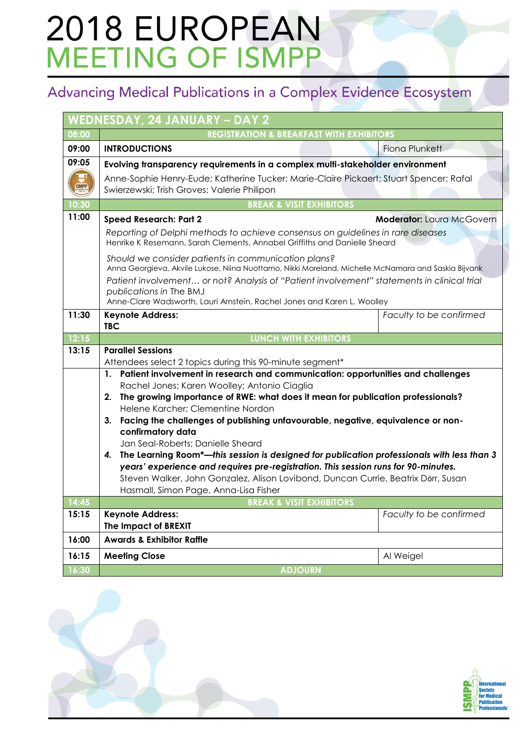### Advancing Medical Publications in a Complex Evidence Ecosystem

| WEDNESDAY, 24 JANUARY - DAY 2 |                                                                                                                                                                                                  |  |  |  |  |
|-------------------------------|--------------------------------------------------------------------------------------------------------------------------------------------------------------------------------------------------|--|--|--|--|
| 08:00                         | <b>REGISTRATION &amp; BREAKFAST WITH EXHIBITORS</b>                                                                                                                                              |  |  |  |  |
| 09:00                         | <b>INTRODUCTIONS</b><br><b>Fiona Plunkett</b>                                                                                                                                                    |  |  |  |  |
| 09:05                         | Evolving transparency requirements in a complex multi-stakeholder environment                                                                                                                    |  |  |  |  |
|                               | Anne-Sophie Henry-Eude; Katherine Tucker; Marie-Claire Pickaert; Stuart Spencer; Rafal                                                                                                           |  |  |  |  |
| <b>CMPP</b>                   | Swierzewski; Trish Groves; Valerie Philipon                                                                                                                                                      |  |  |  |  |
| 10:30                         | <b>BREAK &amp; VISIT EXHIBITORS</b>                                                                                                                                                              |  |  |  |  |
| 11:00                         | <b>Speed Research: Part 2</b><br><b>Moderator: Laura McGovern</b>                                                                                                                                |  |  |  |  |
|                               | Reporting of Delphi methods to achieve consensus on guidelines in rare diseases<br>Henrike K Resemann, Sarah Clements, Annabel Griffiths and Danielle Sheard                                     |  |  |  |  |
|                               | Should we consider patients in communication plans?<br>Anna Georgieva, Akvile Lukose, Niina Nuottamo, Nikki Moreland, Michelle McNamara and Saskia Bijvank                                       |  |  |  |  |
|                               | Patient involvement or not? Analysis of "Patient involvement" statements in clinical trial<br>publications in The BMJ<br>Anne-Clare Wadsworth, Lauri Arnstein, Rachel Jones and Karen L. Woolley |  |  |  |  |
| 11:30                         | <b>Keynote Address:</b><br>Faculty to be confirmed<br><b>TBC</b>                                                                                                                                 |  |  |  |  |
| 12:15                         | <b>LUNCH WITH EXHIBITORS</b>                                                                                                                                                                     |  |  |  |  |
| 13:15                         | <b>Parallel Sessions</b>                                                                                                                                                                         |  |  |  |  |
|                               | Attendees select 2 topics during this 90-minute segment*                                                                                                                                         |  |  |  |  |
|                               | 1. Patient involvement in research and communication: opportunities and challenges<br>Rachel Jones; Karen Woolley; Antonio Ciaglia                                                               |  |  |  |  |
|                               | The growing importance of RWE: what does it mean for publication professionals?<br>2.                                                                                                            |  |  |  |  |
|                               | Helene Karcher; Clementine Nordon                                                                                                                                                                |  |  |  |  |
|                               | Facing the challenges of publishing unfavourable, negative, equivalence or non-<br>3.                                                                                                            |  |  |  |  |
|                               | confirmatory data<br>Jan Seal-Roberts; Danielle Sheard                                                                                                                                           |  |  |  |  |
|                               | The Learning Room*-this session is designed for publication professionals with less than 3<br>4.<br>years' experience and requires pre-registration. This session runs for 90-minutes.           |  |  |  |  |
|                               |                                                                                                                                                                                                  |  |  |  |  |
|                               | Steven Walker, John Gonzalez, Alison Lovibond, Duncan Currie, Beatrix Dörr, Susan                                                                                                                |  |  |  |  |
|                               | Hasmall, Simon Page, Anna-Lisa Fisher                                                                                                                                                            |  |  |  |  |
| 14:45                         | <b>BREAK &amp; VISIT EXHIBITORS</b>                                                                                                                                                              |  |  |  |  |
| 15:15                         | <b>Keynote Address:</b><br>Faculty to be confirmed<br>The Impact of BREXIT                                                                                                                       |  |  |  |  |
| 16:00                         | <b>Awards &amp; Exhibitor Raffle</b>                                                                                                                                                             |  |  |  |  |
| 16:15                         | <b>Meeting Close</b><br>Al Weigel                                                                                                                                                                |  |  |  |  |
| 16:30                         | <b>ADJOURN</b>                                                                                                                                                                                   |  |  |  |  |

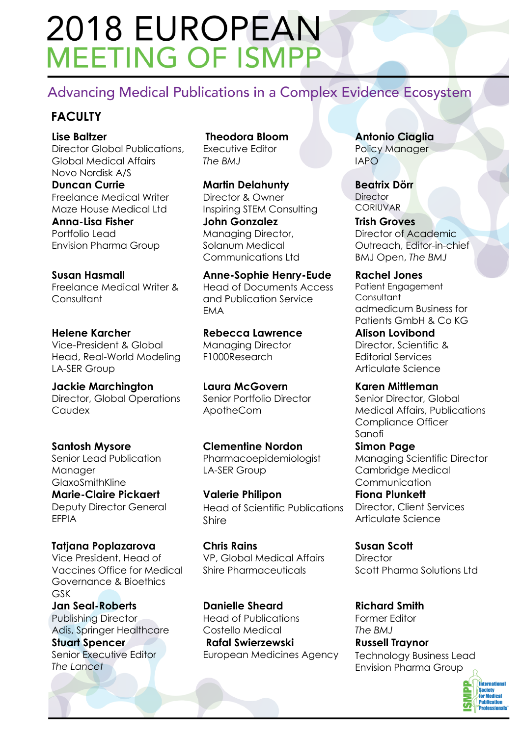#### Advancing Medical Publications in a Complex Evidence Ecosystem

#### **FACULTY**

**Lise Baltzer** Director Global Publications, Global Medical Affairs Novo Nordisk A/S **Duncan Currie**

Freelance Medical Writer Maze House Medical Ltd

**Anna-Lisa Fisher** Portfolio Lead Envision Pharma Group

**Susan Hasmall** Freelance Medical Writer & **Consultant** 

**Helene Karcher** Vice-President & Global Head, Real-World Modeling LA-SER Group

**Jackie Marchington** Director, Global Operations **Caudex** 

**Santosh Mysore** Senior Lead Publication Manager GlaxoSmithKline **Marie-Claire Pickaert**

Deputy Director General EFPIA

**Tatjana Poplazarova** Vice President, Head of Vaccines Office for Medical Governance & Bioethics GSK

**Jan Seal-Roberts** Publishing Director Adis, Springer Healthcare

**Stuart Spencer** Senior Executive Editor *The Lancet*

**Theodora Bloom**  Executive Editor *The BMJ*

**Martin Delahunty** Director & Owner Inspiring STEM Consulting **John Gonzalez** Managing Director, Solanum Medical Communications Ltd

**Anne-Sophie Henry-Eude** Head of Documents Access and Publication Service EMA

**Rebecca Lawrence** Managing Director F1000Research

**Laura McGovern** Senior Portfolio Director ApotheCom

**Clementine Nordon** Pharmacoepidemiologist LA-SER Group

**Valerie Philipon**  Head of Scientific Publications Shire

**Chris Rains** VP, Global Medical Affairs Shire Pharmaceuticals

**Danielle Sheard** Head of Publications Costello Medical **Rafal Swierzewski** European Medicines Agency

**Antonio Ciaglia** Policy Manager IAPO

**Beatrix Dörr Director CORILIVAR** 

**Trish Groves** Director of Academic Outreach, Editor-in-chief BMJ Open, *The BMJ*

**Rachel Jones** Patient Engagement **Consultant** admedicum Business for Patients GmbH & Co KG

**Alison Lovibond** Director, Scientific & Editorial Services Articulate Science

**Karen Mittleman** Senior Director, Global Medical Affairs, Publications Compliance Officer Sanofi **Simon Page**

Managing Scientific Director Cambridge Medical Communication

**Fiona Plunkett** Director, Client Services Articulate Science

**Susan Scott Director** Scott Pharma Solutions Ltd

**Richard Smith** Former Editor *The BMJ* **Russell Traynor** Technology Business Lead Envision Pharma Group